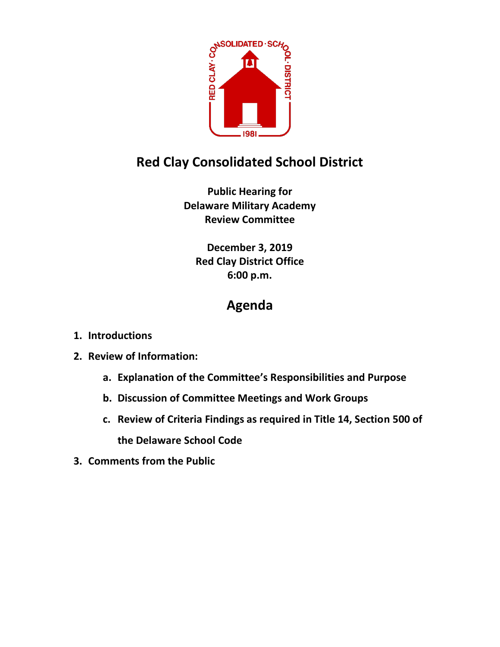

## **Red Clay Consolidated School District**

**Public Hearing for Delaware Military Academy Review Committee**

**December 3, 2019 Red Clay District Office 6:00 p.m.**

## **Agenda**

- **1. Introductions**
- **2. Review of Information:**
	- **a. Explanation of the Committee's Responsibilities and Purpose**
	- **b. Discussion of Committee Meetings and Work Groups**
	- **c. Review of Criteria Findings as required in Title 14, Section 500 of the Delaware School Code**
- **3. Comments from the Public**